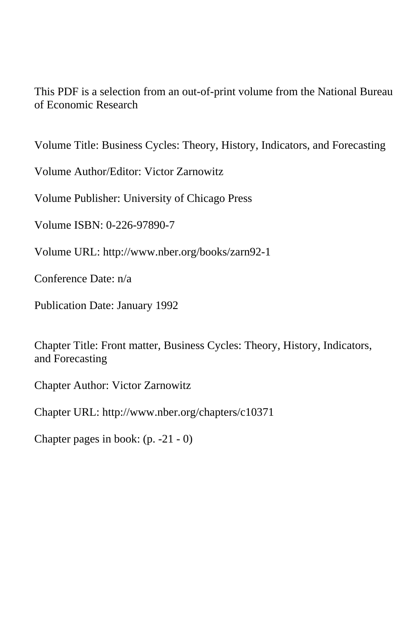This PDF is a selection from an out-of-print volume from the National Bureau of Economic Research

Volume Title: Business Cycles: Theory, History, Indicators, and Forecasting

Volume Author/Editor: Victor Zarnowitz

Volume Publisher: University of Chicago Press

Volume ISBN: 0-226-97890-7

Volume URL: http://www.nber.org/books/zarn92-1

Conference Date: n/a

Publication Date: January 1992

Chapter Title: Front matter, Business Cycles: Theory, History, Indicators, and Forecasting

Chapter Author: Victor Zarnowitz

Chapter URL: http://www.nber.org/chapters/c10371

Chapter pages in book: (p. -21 - 0)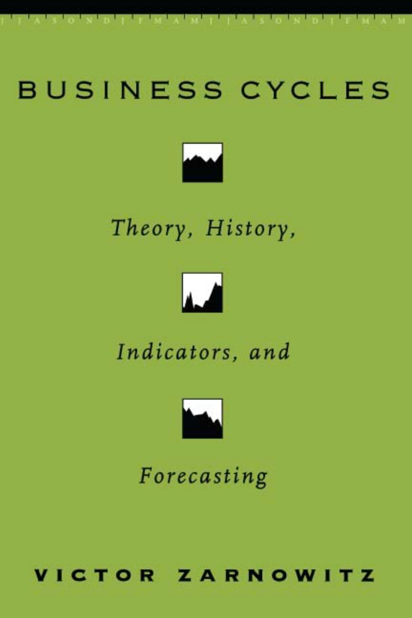## **BUSINESS CYCLES**

**Fishelo** W



## Theory, History,



Indicators, and



Forecasting

**ICTOR ZARNOWITZ**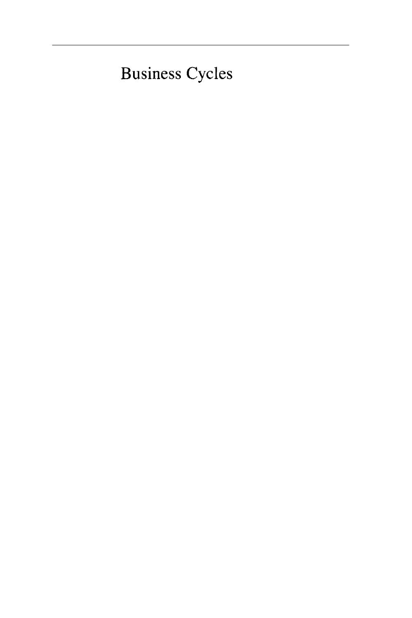Business Cycles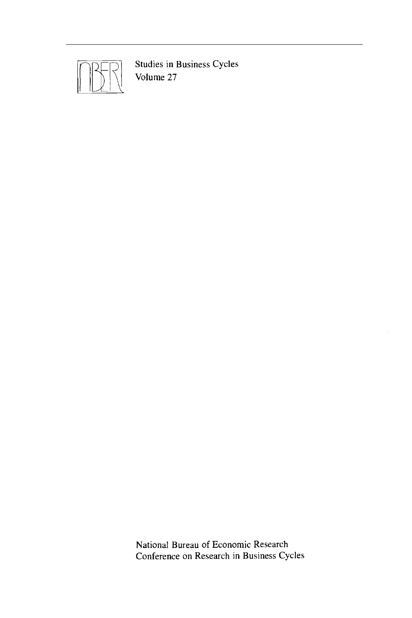

Studies in Business Cycles Volume 27

National Bureau of Economic Research Conference on Research in Business Cycles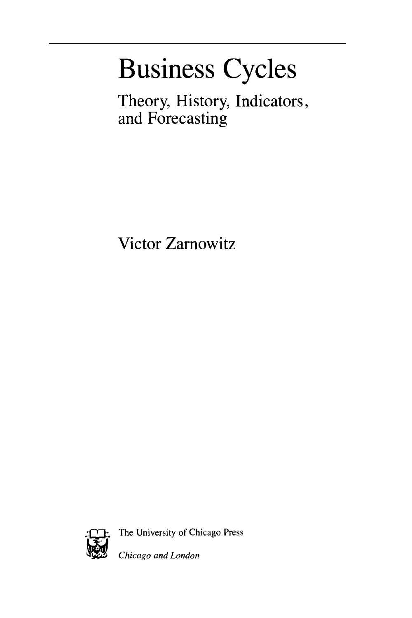# Business Cycles

Theory, History, Indicators, and Forecasting

**Victor** Zamowitz



The University of Chicago Press

*Chicago and London*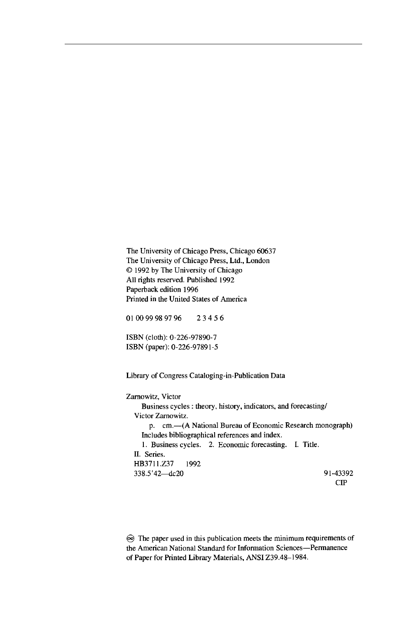The University of Chicago Press, Chicago 60637 The University of Chicago Press, Ltd., London © 1992 by The University of Chicago All rights reserved. Published 1992 Paperback edition 1996 Printed in the United States of America

01 00 99 98 97 96 23456

ISBN (cloth): 0-226-97890-7 ISBN (paper): 0-226-97891-5

Library of Congress Cataloging-in-Publication Data

Zamowitz, Victor Business cycles: theory, history, indicators, and forecasting/ Victor Zamowitz. p. cm.-(A National Bureau of Economic Research monograph) Includes bibliographical references and index. 1. Business cycles. 2. Economic forecasting. I. Title. II. Series. HB3711.Z37 1992 338.5'42-dc20 91-43392

CIP

§ The paper used in this publication meets the minimum requirements of the American National Standard for Information Sciences-Permanence of Paper for Printed Library Materials, ANSI Z39.48-1984.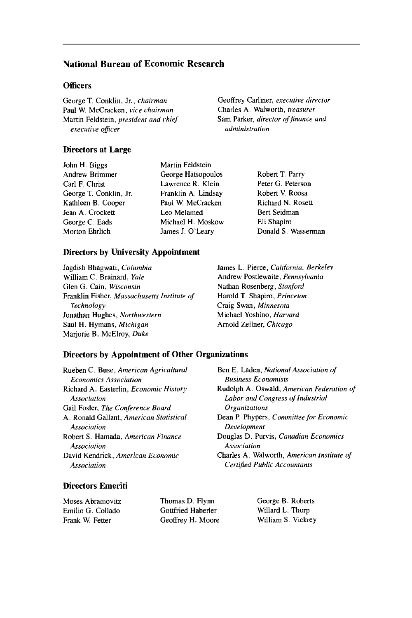#### **National Bureau of Economic Research**

#### **Officers**

George T. Conklin, Jr., *chairman* Paul W. McCracken, *vice chairman* Martin Feldstein, *president and chief executive officer*

#### **Directors at Large**

John H. Biggs Andrew Brimmer Carl F. Christ George T. Conklin, Jr. Kathleen B. Cooper Jean A. Crockett George C. Eads Morton Ehrlich

Martin Feldstein George Hatsopoulos Lawrence R. Klein Franklin A. Lindsay Paul W. McCracken Leo Melamed Michael H. Moskow James J. O'Leary

Geoffrey Carliner, *executive director* Charles A. Walworth, *treasurer* Sam Parker, *director* of finance and *administration*

> Robert T. Parry Peter G. Peterson Robert V. Roosa Richard N. Rosett Bert Seidman Eli Shapiro Donald S. Wasserman

#### **Directors by University Appointment**

Jagdish Bhagwati, *Columbia* William C. Brainard, *Yale* Glen G. Cain, *Wisconsin* Franklin Fisher, *Massachusetts Institute of Technology* Jonathan Hughes, *Northwestern* Saul H. Hymans, *Michigan* Marjorie B. McElroy, *Duke*

James L. Pierce, *California, Berkeley* Andrew Postlewaite, *Pennsylvania* Nathan Rosenberg, *Stanford* Harold T. Shapiro, *Princeton* Craig Swan, *Minnesota* Michael Yoshino, *Harvard* Arnold Zellner, *Chicago*

#### **Directors by Appointment of Other Organizations**

Rueben C. Buse, *American Agricultural Economics Association* Richard A. Easterlin, *Economic History Association* Gail Fosler, *The Conference Board* A. Ronald Gallant, *American Statistical Association* Robert S. Hamada, *American Finance Association* David Kendrick, *American Economic Association*

Ben E. Laden, *National Association of Business Economists* Rudolph A. Oswald, *American Federation of Labor and Congress ofIndustrial Organizations* Dean P. Phypers, *Committee for Economic Development* Douglas D. Purvis, *Canadian Economics Association* Charles A. Walworth, *American Institute of Certified Public Accountants*

#### **Directors Emeriti**

| Moses Abramovitz  | Thomas D. Flynn    | George B. Roberts  |
|-------------------|--------------------|--------------------|
| Emilio G. Collado | Gottfried Haberler | Willard L. Thorp   |
| Frank W. Fetter   | Geoffrey H. Moore  | William S. Vickrey |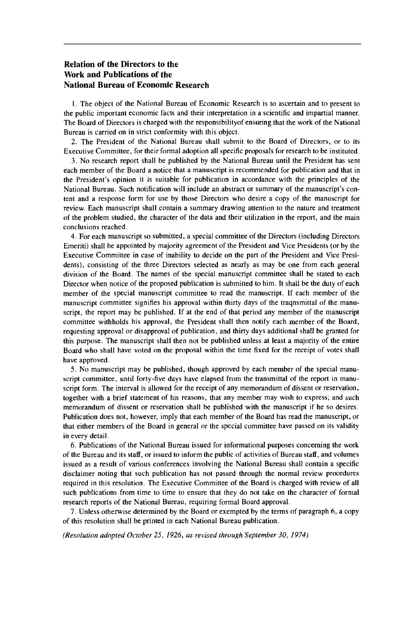#### **Relation of the Directors to the Work and Publications of the National Bureau of Economic Research**

1. The object of the National Bureau of Economic Research is to ascertain and to present to the public important economic facts and their interpretation in a scientific and impartial manner. The Board of Directors is charged with the responsibilityof ensuring that the work of the National Bureau is carried on in strict conformity with this object.

2. The President of the National Bureau shall submit to the Board of Directors, or to its Executive Committee, for their formal adoption all specific proposals for research to be instituted.

3. No research report shall be published by the National Bureau until the President has sent each member of the Board a notice that a manuscript is recommended for publication and that in the President's opinion it is suitable for publication in accordance with the principles of the National Bureau. Such notification will include an abstract or summary of the manuscript's content and a response form for use by those Directors who desire a copy of the manuscript for review. Each manuscript shall contain a summary drawing attention to the nature and treatment of the problem studied, the character of the data and their utilization in the report, and the main conclusions reached.

4. For each manuscript so submitted, a special committee of the Directors (including Directors Emeriti) shall be appointed by majority agreement of the President and Vice Presidents (or by the Executive Committee in case of inability to decide on the part of the President and Vice Presidents), consisting of the three Directors selected as nearly as may be one from each general division of the Board. The names of the special manuscript committee shall be stated to each Director when notice of the proposed publication is submitted to him. It shall be the duty of each member of the special manuscript committee to read the manuscript. If each member of the manuscript committee signifies his approval within thirty days of the traqnsmittal of the manuscript, the report may be published. If at the end of that period any member of the manuscript committee withholds his approval, the President shall then notify each member of the Board, requesting approval or disapproval of publication, and thirty days additional shall be granted for this purpose. The manuscript shall then not be published unless at least a majority of the entire Board who shall have voted on the proposal within the time fixed for the receipt of votes shall have approved.

5. No manuscript may be published, though approved by each member of the special manuscript committee, until forty-five days have elapsed from the transmittal of the report in manuscript form. The interval is allowed for the receipt of any memorandum of dissent or reservation, together with a brief statement of his reasons, that any member may wish to express; and such memorandum of dissent or reservation shall be published with the manuscript if he so desires. Publication does not, however, imply that each member of the Board has read the manuscript, or that either members of the Board in general or the special committee have passed on its validity in every detail.

6. Publications of the National Bureau issued for informational purposes concerning the work of the Bureau and its staff, or issued to inform the public of activities of Bureau staff, and volumes issued as a result of various conferences involving the National Bureau shall contain a specific disclaimer noting that such publication has not passed through the normal review procedures required in this resolution. The Executive Committee of the Board is charged with review of all such publications from time to time to ensure that they do not take on the character of formal research reports of the National Bureau, requiring formal Board approval.

7. Unless otherwise determined by the Board or exempted by the terms of paragraph 6, a copy of this resolution shall be printed in each National Bureau publication.

*(Resolution adopted October* 25, 1926, *as revised through September 30, 1974)*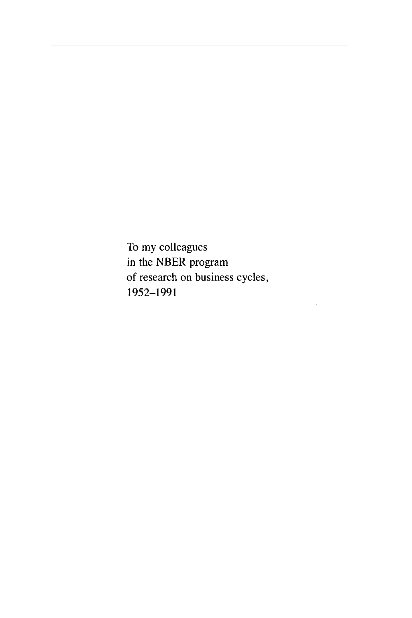To my colleagues in the NBER program of research on business cycles, 1952-1991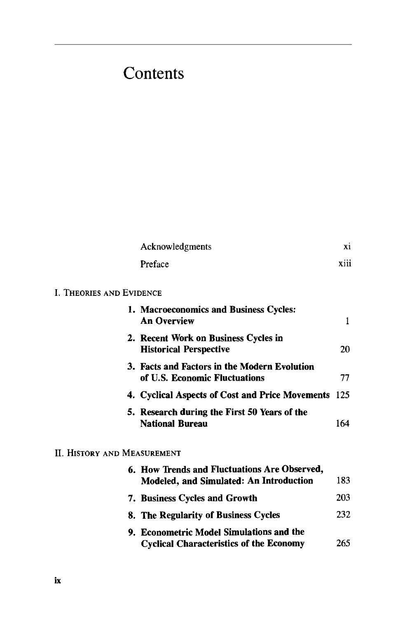## **Contents**

|                                    | Acknowledgments                                                                                | хi   |
|------------------------------------|------------------------------------------------------------------------------------------------|------|
|                                    | Preface                                                                                        | xiii |
| I. THEORIES AND EVIDENCE           |                                                                                                |      |
|                                    | 1. Macroeconomics and Business Cycles:<br><b>An Overview</b>                                   | 1    |
|                                    | 2. Recent Work on Business Cycles in<br><b>Historical Perspective</b>                          | 20   |
|                                    | 3. Facts and Factors in the Modern Evolution<br>of U.S. Economic Fluctuations                  | 77   |
|                                    | 4. Cyclical Aspects of Cost and Price Movements                                                | 125  |
|                                    | 5. Research during the First 50 Years of the<br><b>National Bureau</b>                         | 164  |
| <b>II. HISTORY AND MEASUREMENT</b> |                                                                                                |      |
|                                    | 6. How Trends and Fluctuations Are Observed,<br><b>Modeled, and Simulated: An Introduction</b> | 183  |
|                                    | 7. Business Cycles and Growth                                                                  | 203  |

|  |  | 8. The Regularity of Business Cycles |  |  |  | 232 |
|--|--|--------------------------------------|--|--|--|-----|
|--|--|--------------------------------------|--|--|--|-----|

| 9. Econometric Model Simulations and the       |     |
|------------------------------------------------|-----|
| <b>Cyclical Characteristics of the Economy</b> | 265 |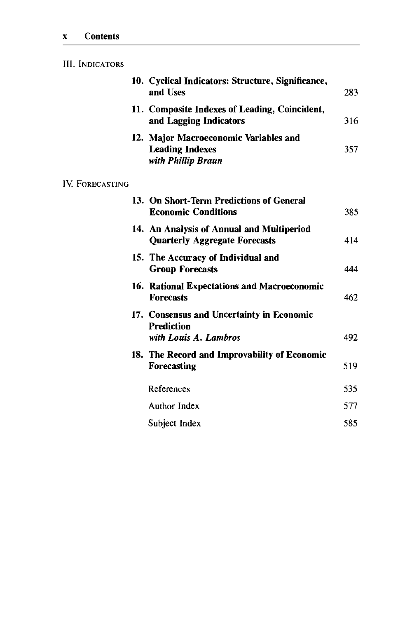#### III. INDICATORS

|                        | 10. Cyclical Indicators: Structure, Significance,<br>and Uses                           | 283 |
|------------------------|-----------------------------------------------------------------------------------------|-----|
|                        | 11. Composite Indexes of Leading, Coincident,<br>and Lagging Indicators                 | 316 |
|                        | 12. Major Macroeconomic Variables and<br><b>Leading Indexes</b><br>with Phillip Braun   | 357 |
| <b>IV. FORECASTING</b> |                                                                                         |     |
|                        | 13. On Short-Term Predictions of General<br><b>Economic Conditions</b>                  | 385 |
|                        | 14. An Analysis of Annual and Multiperiod<br><b>Quarterly Aggregate Forecasts</b>       | 414 |
|                        | 15. The Accuracy of Individual and<br><b>Group Forecasts</b>                            | 444 |
|                        | 16. Rational Expectations and Macroeconomic<br><b>Forecasts</b>                         | 462 |
|                        | 17. Consensus and Uncertainty in Economic<br><b>Prediction</b><br>with Louis A. Lambros | 492 |
|                        | 18. The Record and Improvability of Economic<br>Forecasting                             | 519 |
|                        | References                                                                              | 535 |
|                        | Author Index                                                                            | 577 |
|                        | Subject Index                                                                           | 585 |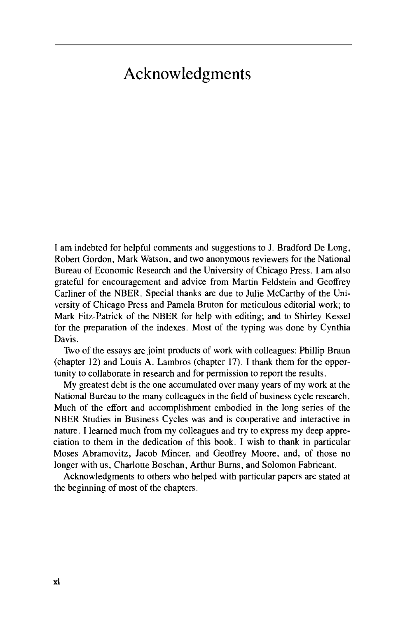### Acknowledgments

I am indebted for helpful comments and suggestions to J. Bradford De Long, Robert Gordon, Mark Watson, and two anonymous reviewers for the National Bureau of Economic Research and the University of Chicago Press. I am also grateful for encouragement and advice from Martin Feldstein and Geoffrey Carliner of the NBER. Special thanks are due to Julie McCarthy of the University of Chicago Press and Pamela Bruton for meticulous editorial work; to Mark Fitz-Patrick of the NBER for help with editing; and to Shirley Kessel for the preparation of the indexes. Most of the typing was done by Cynthia Davis.

Two of the essays are joint products of work with colleagues: Phillip Braun (chapter 12) and Louis A. Lambros (chapter 17). I thank them for the opportunity to collaborate in research and for permission to report the results.

My greatest debt is the one accumulated over many years of my work at the National Bureau to the many colleagues in the field of business cycle research. Much of the effort and accomplishment embodied in the long series of the NBER Studies in Business Cycles was and is cooperative and interactive in nature. I learned much from my colleagues and try to express my deep appreciation to them in the dedication of this book. I wish to thank in particular Moses Abramovitz, Jacob Mincer, and Geoffrey Moore, and, of those no longer with us, Charlotte Boschan, Arthur Bums, and Solomon Fabricant.

Acknowledgments to others who helped with particular papers are stated at the beginning of most of the chapters.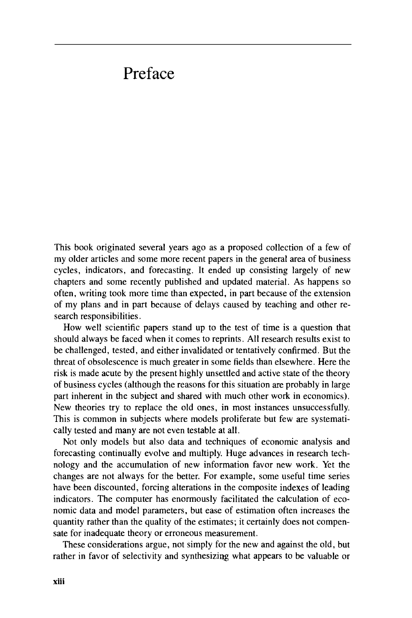## Preface

This book originated several years ago as a proposed collection of a few of my older articles and some more recent papers in the general area of business cycles, indicators, and forecasting. It ended up consisting largely of new chapters and some recently published and updated material. As happens so often, writing took more time than expected, in part because of the extension of my plans and in part because of delays caused by teaching and other research responsibilities.

How well scientific papers stand up to the test of time is a question that should always be faced when it comes to reprints. All research results exist to be challenged, tested, and either invalidated or tentatively confirmed. But the threat of obsolescence is much greater in some fields than elsewhere. Here the risk is made acute by the present highly unsettled and active state of the theory of business cycles (although the reasons for this situation are probably in large part inherent in the subject and shared with much other work in economics). New theories try to replace the old ones, in most instances unsuccessfully. This is common in subjects where models proliferate but few are systematically tested and many are not even testable at all.

Not only models but also data and techniques of economic analysis and forecasting continually evolve and multiply. Huge advances in research technology and the accumulation of new information favor new work. Yet the changes are not always for the better. For example, some useful time series have been discounted, forcing alterations in the composite indexes of leading indicators. The computer has enormously facilitated the calculation of economic data and model parameters, but ease of estimation often increases the quantity rather than the quality of the estimates; it certainly does not compensate for inadequate theory or erroneous measurement.

These considerations argue, not simply for the new and against the old, but rather in favor of selectivity and synthesizing what appears to be valuable or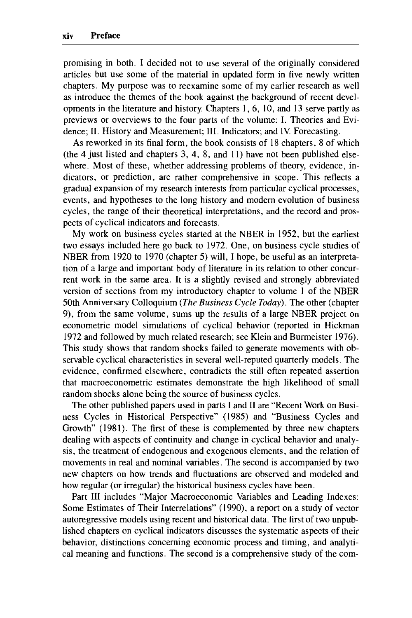promising in both. I decided not to use several of the originally considered articles but use some of the material in updated form in five newly written chapters. My purpose was to reexamine some of my earlier research as well as introduce the themes of the book against the background of recent developments in the literature and history. Chapters 1, 6, 10, and 13 serve partly as previews or overviews to the four parts of the volume: I. Theories and Evidence; II. History and Measurement; III. Indicators; and IV. Forecasting.

As reworked in its final form, the book consists of 18 chapters, 8 of which (the 4 just listed and chapters 3, 4, 8, and 11) have not been published elsewhere. Most of these, whether addressing problems of theory, evidence, indicators, or prediction, are rather comprehensive in scope. This reflects a gradual expansion of my research interests from particular cyclical processes, events, and hypotheses to the long history and modem evolution of business cycles, the range of their theoretical interpretations, and the record and prospects of cyclical indicators and forecasts.

My work on business cycles started at the NBER in 1952, but the earliest two essays included here go back to 1972. One, on business cycle studies of NBER from 1920 to 1970 (chapter 5) will, I hope, be useful as an interpretation of a large and important body of literature in its relation to other concurrent work in the same area. It is a slightly revised and strongly abbreviated version of sections from my introductory chapter to volume 1 of the NBER 50th Anniversary Colloquium *(The Business Cycle Today).* The other (chapter 9), from the same volume, sums up the results of a large NBER project on econometric model simulations of cyclical behavior (reported in Hickman 1972 and followed by much related research; see Klein and Burmeister 1976). This study shows that random shocks failed to generate movements with observable cyclical characteristics in several well-reputed quarterly models. The evidence, confirmed elsewhere, contradicts the still often repeated assertion that macroeconometric estimates demonstrate the high likelihood of small random shocks alone being the source of business cycles.

The other published papers used in parts I and II are "Recent Work on Business Cycles in Historical Perspective" (1985) and "Business Cycles and Growth" (1981). The first of these is complemented by three new chapters dealing with aspects of continuity and change in cyclical behavior and analysis, the treatment of endogenous and exogenous elements, and the relation of movements in real and nominal variables. The second is accompanied by two new chapters on how trends and fluctuations are observed and modeled and how regular (or irregular) the historical business cycles have been.

Part III includes "Major Macroeconomic Variables and Leading Indexes: Some Estimates of Their Interrelations" (1990), a report on a study of vector autoregressive models using recent and historical data. The first of two unpublished chapters on cyclical indicators discusses the systematic aspects of their behavior, distinctions concerning economic process and timing, and analytical meaning and functions. The second is a comprehensive study of the com-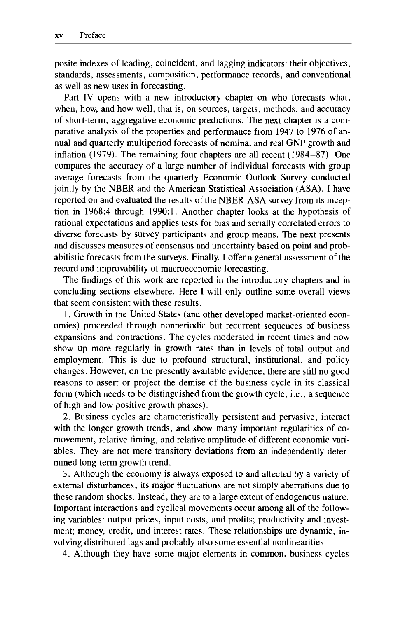posite indexes of leading, coincident, and lagging indicators: their objectives, standards, assessments, composition, performance records, and conventional as well as new uses in forecasting.

Part IV opens with a new introductory chapter on who forecasts what, when, how, and how well, that is, on sources, targets, methods, and accuracy of short-term, aggregative economic predictions. The next chapter is a comparative analysis of the properties and performance from 1947 to 1976 of annual and quarterly multiperiod forecasts of nominal and real GNP growth and inflation (1979). The remaining four chapters are all recent (1984-87). One compares the accuracy of a large number of individual forecasts with group average forecasts from the quarterly Economic Outlook Survey conducted jointly by the NBER and the American Statistical Association (ASA). I have reported on and evaluated the results of the NBER-ASA survey from its inception in 1968:4 through 1990:1. Another chapter looks at the hypothesis of rational expectations and applies tests for bias and serially correlated errors to diverse forecasts by survey participants and group means. The next presents and discusses measures of consensus and uncertainty based on point and probabilistic forecasts from the surveys. Finally, I offer a general assessment of the record and improvability of macroeconomic forecasting.

The findings of this work are reported in the introductory chapters and in concluding sections elsewhere. Here I will only outline some overall views that seem consistent with these results.

1. Growth in the United States (and other developed market-oriented economies) proceeded through nonperiodic but recurrent sequences of business expansions and contractions. The cycles moderated in recent times and now show up more regularly in growth rates than in levels of total output and employment. This is due to profound structural, institutional, and policy changes. However, on the presently available evidence, there are still no good reasons to assert or project the demise of the business cycle in its classical form (which needs to be distinguished from the growth cycle, i.e., a sequence of high and low positive growth phases).

2. Business cycles are characteristically persistent and pervasive, interact with the longer growth trends, and show many important regularities of comovement, relative timing, and relative amplitude of different economic variables. They are not mere transitory deviations from an independently determined long-term growth trend.

3. Although the economy is always exposed to and affected by a variety of external disturbances, its major fluctuations are not simply aberrations due to these random shocks. Instead, they are to a large extent of endogenous nature. Important interactions and cyclical movements occur among all of the following variables: output prices, input costs, and profits; productivity and investment; money, credit, and interest rates. These relationships are dynamic, involving distributed lags and probably also some essential nonlinearities.

4. Although they have some major elements in common, business cycles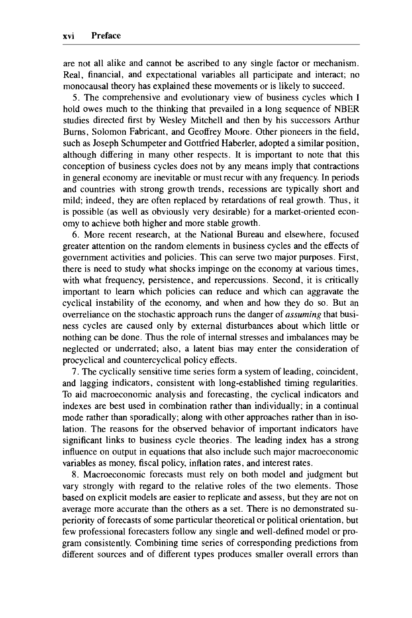are not all alike and cannot be ascribed to any single factor or mechanism. Real, financial, and expectational variables all participate and interact; no monocausal theory has explained these movements or is likely to succeed.

S. The comprehensive and evolutionary view of business cycles which I hold owes much to the thinking that prevailed in a long sequence of NBER studies directed first by Wesley Mitchell and then by his successors Arthur Bums, Solomon Fabricant, and Geoffrey Moore. Other pioneers in the field, such as Joseph Schumpeter and Gottfried Haberler, adopted a similar position, although differing in many other respects. It is important to note that this conception of business cycles does not by any means imply that contractions in general economy are inevitable or must recur with any frequency. In periods and countries with strong growth trends, recessions are typically short and mild; indeed, they are often replaced by retardations of real growth. Thus, it is possible (as well as obviously very desirable) for a market-oriented economy to achieve both higher and more stable growth.

6. More recent research, at the National Bureau and elsewhere, focused greater attention on the random elements in business cycles and the effects of government activities and policies. This can serve two major purposes. First, there is need to study what shocks impinge on the economy at various times, with what frequency, persistence, and repercussions. Second, it is critically important to learn which policies can reduce and which can aggravate the cyclical instability of the economy, and when and how they do so. But an overreliance on the stochastic approach runs the danger of *assuming* that business cycles are caused only by external disturbances about which little or nothing can be done. Thus the role of internal stresses and imbalances may be neglected or underrated; also, a latent bias may enter the consideration of procyclical and countercyclical policy effects.

7. The cyclically sensitive time series form a system of leading, coincident, and lagging indicators, consistent with long-established timing regularities. To aid macroeconomic analysis and forecasting, the cyclical indicators and indexes are best used in combination rather than individually; in a continual mode rather than sporadically; along with other approaches rather than in isolation. The reasons for the observed behavior of important indicators have significant links to business cycle theories. The leading index has a strong influence on output in equations that also include such major macroeconomic variables as money, fiscal policy, inflation rates, and interest rates.

8. Macroeconomic forecasts must rely on both model and judgment but vary strongly with regard to the relative roles of the two elements. Those based on explicit models are easier to replicate and assess, but they are not on average more accurate than the others as a set. There is no demonstrated superiority of forecasts of some particular theoretical or political orientation, but few professional forecasters follow any single and well-defined model or program consistently. Combining time series of corresponding predictions from different sources and of different types produces smaller overall errors than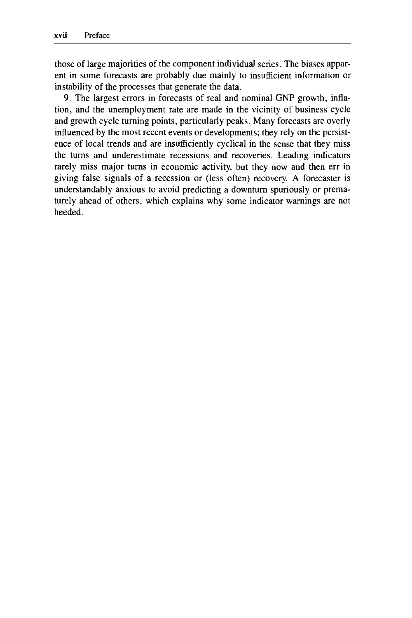those of large majorities of the component individual series. The biases apparent in some forecasts are probably due mainly to insufficient information or instability of the processes that generate the data.

9. The largest errors in forecasts of real and nominal GNP growth, inflation, and the unemployment rate are made in the vicinity of business cycle and growth cycle turning points, particularly peaks. Many forecasts are overly influenced by the most recent events or developments; they rely on the persistence of local trends and are insufficiently cyclical in the sense that they miss the turns and underestimate recessions and recoveries. Leading indicators rarely miss major turns in economic activity, but they now and then err in giving false signals of a recession or (less often) recovery. A forecaster is understandably anxious to avoid predicting a downturn spuriously or prematurely ahead of others, which explains why some indicator warnings are not heeded.